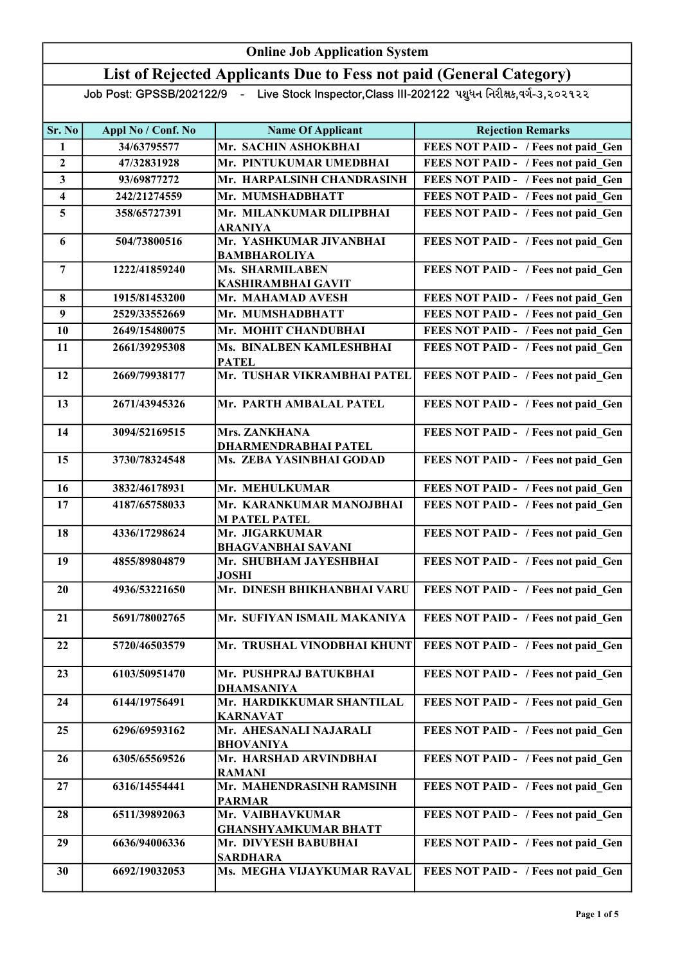## Online Job Application System

# List of Rejected Applicants Due to Fess not paid (General Category)

Job Post: GPSSB/202122/9 - Live Stock Inspector, Class III-202122 પશુધન નિરીક્ષક, વર્ગ-૩,૨૦૨૧૨૨

| $\overline{\text{Sr}}$ . No | Appl No / Conf. No | <b>Name Of Applicant</b>                            | <b>Rejection Remarks</b>            |
|-----------------------------|--------------------|-----------------------------------------------------|-------------------------------------|
| $\mathbf{1}$                | 34/63795577        | Mr. SACHIN ASHOKBHAI                                | FEES NOT PAID - / Fees not paid Gen |
| $\overline{2}$              | 47/32831928        | Mr. PINTUKUMAR UMEDBHAI                             | FEES NOT PAID - / Fees not paid Gen |
| $\mathbf{3}$                | 93/69877272        | Mr. HARPALSINH CHANDRASINH                          | FEES NOT PAID - / Fees not paid Gen |
| $\overline{\mathbf{4}}$     | 242/21274559       | Mr. MUMSHADBHATT                                    | FEES NOT PAID - / Fees not paid Gen |
| 5                           | 358/65727391       | Mr. MILANKUMAR DILIPBHAI                            | FEES NOT PAID - / Fees not paid Gen |
|                             |                    | <b>ARANIYA</b>                                      |                                     |
| 6                           | 504/73800516       | Mr. YASHKUMAR JIVANBHAI                             | FEES NOT PAID - / Fees not paid Gen |
|                             |                    | <b>BAMBHAROLIYA</b>                                 |                                     |
| $\overline{7}$              | 1222/41859240      | <b>Ms. SHARMILABEN</b>                              | FEES NOT PAID - / Fees not paid Gen |
| 8                           | 1915/81453200      | <b>KASHIRAMBHAI GAVIT</b><br>Mr. MAHAMAD AVESH      | FEES NOT PAID - / Fees not paid Gen |
| 9                           | 2529/33552669      | Mr. MUMSHADBHATT                                    | FEES NOT PAID - / Fees not paid Gen |
| 10                          | 2649/15480075      | Mr. MOHIT CHANDUBHAI                                | FEES NOT PAID - / Fees not paid Gen |
| 11                          | 2661/39295308      | Ms. BINALBEN KAMLESHBHAI                            |                                     |
|                             |                    | <b>PATEL</b>                                        | FEES NOT PAID - / Fees not paid Gen |
| 12                          | 2669/79938177      | Mr. TUSHAR VIKRAMBHAI PATEL                         | FEES NOT PAID - / Fees not paid Gen |
|                             |                    |                                                     |                                     |
| 13                          | 2671/43945326      | Mr. PARTH AMBALAL PATEL                             | FEES NOT PAID - / Fees not paid_Gen |
| 14                          | 3094/52169515      | Mrs. ZANKHANA                                       | FEES NOT PAID - / Fees not paid Gen |
|                             |                    | <b>DHARMENDRABHAI PATEL</b>                         |                                     |
| 15                          | 3730/78324548      | Ms. ZEBA YASINBHAI GODAD                            | FEES NOT PAID - / Fees not paid Gen |
|                             |                    |                                                     |                                     |
| 16                          | 3832/46178931      | Mr. MEHULKUMAR                                      | FEES NOT PAID - / Fees not paid Gen |
| 17                          | 4187/65758033      | Mr. KARANKUMAR MANOJBHAI                            | FEES NOT PAID - / Fees not paid Gen |
|                             |                    | <b>M PATEL PATEL</b>                                |                                     |
| 18                          | 4336/17298624      | Mr. JIGARKUMAR                                      | FEES NOT PAID - / Fees not paid Gen |
| 19                          | 4855/89804879      | <b>BHAGVANBHAI SAVANI</b><br>Mr. SHUBHAM JAYESHBHAI | FEES NOT PAID - / Fees not paid Gen |
|                             |                    | <b>JOSHI</b>                                        |                                     |
| <b>20</b>                   | 4936/53221650      | Mr. DINESH BHIKHANBHAI VARU                         | FEES NOT PAID - / Fees not paid_Gen |
|                             |                    |                                                     |                                     |
| 21                          | 5691/78002765      | Mr. SUFIYAN ISMAIL MAKANIYA                         | FEES NOT PAID - / Fees not paid Gen |
|                             |                    |                                                     |                                     |
| 22                          | 5720/46503579      | Mr. TRUSHAL VINODBHAI KHUNT                         | FEES NOT PAID - / Fees not paid Gen |
| 23                          | 6103/50951470      | Mr. PUSHPRAJ BATUKBHAI                              | FEES NOT PAID - / Fees not paid Gen |
|                             |                    | <b>DHAMSANIYA</b>                                   |                                     |
| 24                          | 6144/19756491      | Mr. HARDIKKUMAR SHANTILAL                           | FEES NOT PAID - / Fees not paid Gen |
|                             |                    | <b>KARNAVAT</b>                                     |                                     |
| 25                          | 6296/69593162      | Mr. AHESANALI NAJARALI                              | FEES NOT PAID - / Fees not paid Gen |
| 26                          | 6305/65569526      | <b>BHOVANIYA</b><br>Mr. HARSHAD ARVINDBHAI          | FEES NOT PAID - / Fees not paid Gen |
|                             |                    | <b>RAMANI</b>                                       |                                     |
| 27                          | 6316/14554441      | Mr. MAHENDRASINH RAMSINH                            | FEES NOT PAID - / Fees not paid Gen |
|                             |                    | <b>PARMAR</b>                                       |                                     |
| 28                          | 6511/39892063      | Mr. VAIBHAVKUMAR                                    | FEES NOT PAID - / Fees not paid Gen |
|                             |                    | <b>GHANSHYAMKUMAR BHATT</b>                         |                                     |
| 29                          | 6636/94006336      | Mr. DIVYESH BABUBHAI<br><b>SARDHARA</b>             | FEES NOT PAID - / Fees not paid Gen |
| 30                          | 6692/19032053      | Ms. MEGHA VIJAYKUMAR RAVAL                          | FEES NOT PAID - / Fees not paid Gen |
|                             |                    |                                                     |                                     |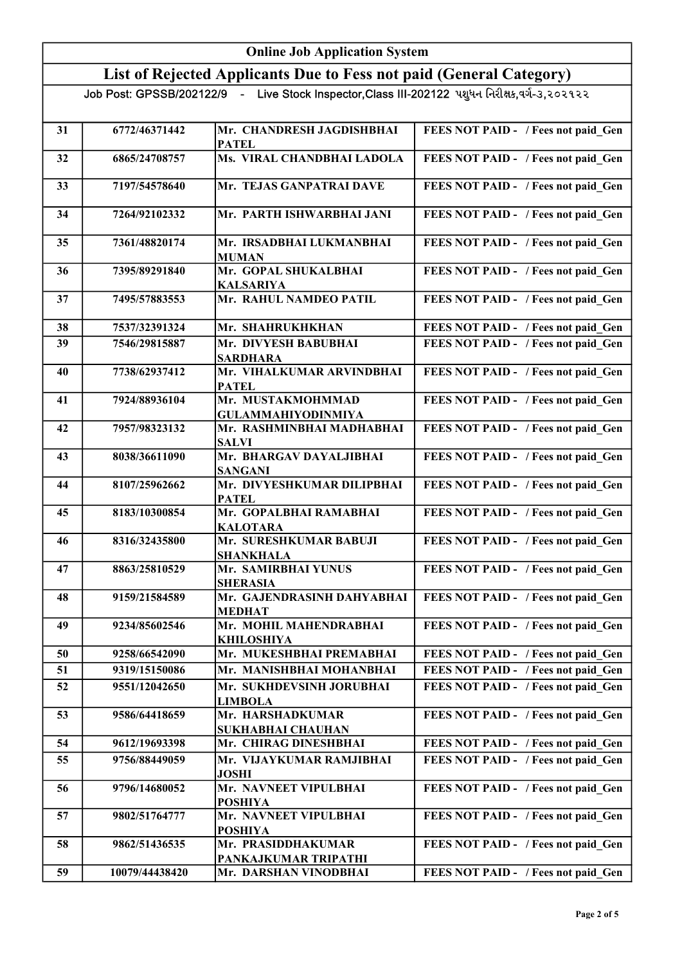### Online Job Application System List of Rejected Applicants Due to Fess not paid (General Category) Job Post: GPSSB/202122/9 - Live Stock Inspector,Class III-202122 પશુધન નિરીક્ષક,વર્ગ-૩,૨૦૨૧૨૨ 31 6772/46371442 Mr. CHANDRESH JAGDISHBHAI PATEL FEES NOT PAID - / Fees not paid Gen 32 6865/24708757 Ms. VIRAL CHANDBHAI LADOLA FEES NOT PAID - / Fees not paid Gen 33 7197/54578640 Mr. TEJAS GANPATRAI DAVE FEES NOT PAID - / Fees not paid Gen 34 7264/92102332 Mr. PARTH ISHWARBHAI JANI FEES NOT PAID - / Fees not paid Gen 35 7361/48820174 Mr. IRSADBHAI LUKMANBHAI MUMAN FEES NOT PAID - / Fees not paid Gen 36 7395/89291840 Mr. GOPAL SHUKALBHAI KALSARIYA FEES NOT PAID - / Fees not paid Gen 37 7495/57883553 Mr. RAHUL NAMDEO PATIL FEES NOT PAID - / Fees not paid Gen 38 | 7537/32391324 | Mr. SHAHRUKHKHAN 39 7546/29815887 Mr. DIVYESH BABUBHAI FEES NOT PAID - / Fees not paid\_Gen SARDHARA FEES NOT PAID - / Fees not paid Gen 40 7738/62937412 Mr. VIHALKUMAR ARVINDBHAI PATEL FEES NOT PAID - / Fees not paid Gen 41 7924/88936104 Mr. MUSTAKMOHMMAD GULAMMAHIYODINMIYA FEES NOT PAID - / Fees not paid Gen 42 7957/98323132 Mr. RASHMINBHAI MADHABHAI SALVI FEES NOT PAID - / Fees not paid Gen 43 8038/36611090 Mr. BHARGAV DAYALJIBHAI SANGANI FEES NOT PAID - / Fees not paid Gen 44 8107/25962662 Mr. DIVYESHKUMAR DILIPBHAI PATEL FEES NOT PAID - / Fees not paid Gen 45 8183/10300854 Mr. GOPALBHAI RAMABHAI KALOTARA FEES NOT PAID - / Fees not paid Gen 46 8316/32435800 Mr. SURESHKUMAR BABUJI SHANKHALA FEES NOT PAID - / Fees not paid Gen 47 8863/25810529 Mr. SAMIRBHAI YUNUS SHERASIA FEES NOT PAID - / Fees not paid Gen 48 9159/21584589 Mr. GAJENDRASINH DAHYABHAI MEDHAT FEES NOT PAID - / Fees not paid Gen 49 9234/85602546 Mr. MOHIL MAHENDRABHAI KHILOSHIYA FEES NOT PAID - / Fees not paid Gen 50 9258/66542090 Mr. MUKESHBHAI PREMABHAI 51 9319/15150086 Mr. MANISHBHAI MOHANBHAI FEES NOT PAID - / Fees not paid\_Gen 52 9551/12042650 Mr. SUKHDEVSINH JORUBHAI FEES NOT PAID - / Fees not paid Gen LIMBOLA FEES NOT PAID - / Fees not paid Gen 53 9586/64418659 Mr. HARSHADKUMAR SUKHABHAI CHAUHAN FEES NOT PAID - / Fees not paid Gen 54 9612/19693398 Mr. CHIRAG DINESHBHAI 55 9756/88449059 Mr. VIJAYKUMAR RAMJIBHAI FEES NOT PAID - / Fees not paid\_Gen JOSHI FEES NOT PAID - / Fees not paid Gen 56 9796/14680052 Mr. NAVNEET VIPULBHAI POSHIYA FEES NOT PAID - / Fees not paid Gen 57 9802/51764777 Mr. NAVNEET VIPULBHAI POSHIYA FEES NOT PAID - / Fees not paid Gen 58 9862/51436535 Mr. PRASIDDHAKUMAR PANKAJKUMAR TRIPATHI FEES NOT PAID - / Fees not paid Gen 59 10079/44438420 Mr. DARSHAN VINODBHAI FEES NOT PAID - / Fees not paid Gen

KORAT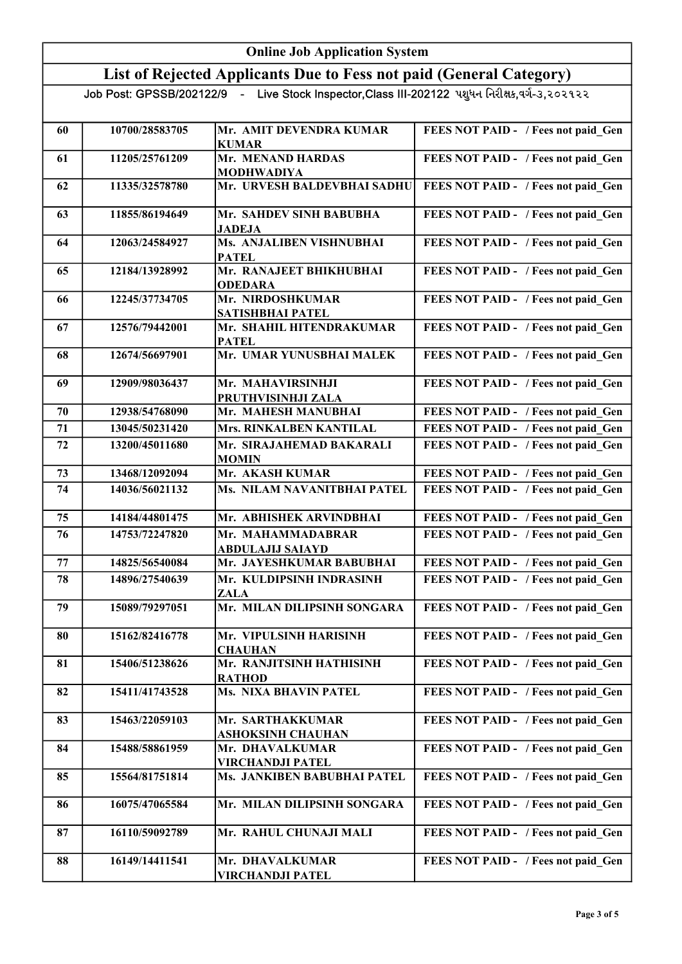### Online Job Application System

## List of Rejected Applicants Due to Fess not paid (General Category)

Job Post: GPSSB/202122/9 - Live Stock Inspector, Class III-202122 પશુધન નિરીક્ષક,વર્ગ-૩,૨૦૨૧૨૨

| Mr. AMIT DEVENDRA KUMAR<br>10700/28583705<br>60<br><b>KUMAR</b><br>Mr. MENAND HARDAS<br>11205/25761209<br>61<br><b>MODHWADIYA</b><br>Mr. URVESH BALDEVBHAI SADHU<br>62<br>11335/32578780<br>Mr. SAHDEV SINH BABUBHA<br>63<br>11855/86194649<br><b>JADEJA</b><br><b>Ms. ANJALIBEN VISHNUBHAI</b><br>12063/24584927<br>64<br><b>PATEL</b><br>Mr. RANAJEET BHIKHUBHAI<br>12184/13928992<br>65<br><b>ODEDARA</b><br>Mr. NIRDOSHKUMAR<br>12245/37734705<br>66<br>SATISHBHAI PATEL<br>Mr. SHAHIL HITENDRAKUMAR<br>12576/79442001<br>67<br><b>PATEL</b><br>Mr. UMAR YUNUSBHAI MALEK<br>12674/56697901<br>68<br>Mr. MAHAVIRSINHJI<br>12909/98036437<br>69<br>PRUTHVISINHJI ZALA<br>Mr. MAHESH MANUBHAI<br>12938/54768090<br>70<br><b>Mrs. RINKALBEN KANTILAL</b><br>13045/50231420<br>71<br>Mr. SIRAJAHEMAD BAKARALI<br>72<br>13200/45011680<br><b>MOMIN</b><br>Mr. AKASH KUMAR<br>13468/12092094<br>73<br>14036/56021132<br>Ms. NILAM NAVANITBHAI PATEL<br>74<br>Mr. ABHISHEK ARVINDBHAI<br>75<br>14184/44801475<br>Mr. MAHAMMADABRAR<br>76<br>14753/72247820<br><b>ABDULAJIJ SAIAYD</b><br>Mr. JAYESHKUMAR BABUBHAI<br>14825/56540084<br>77<br>Mr. KULDIPSINH INDRASINH<br>78<br>14896/27540639<br><b>ZALA</b><br>Mr. MILAN DILIPSINH SONGARA<br>15089/79297051<br>79<br>80<br>15162/82416778<br>Mr. VIPULSINH HARISINH<br><b>CHAUHAN</b><br>15406/51238626<br>Mr. RANJITSINH HATHISINH<br>81<br><b>RATHOD</b><br><b>Ms. NIXA BHAVIN PATEL</b><br>15411/41743528<br>82<br>83<br>15463/22059103<br>Mr. SARTHAKKUMAR<br><b>ASHOKSINH CHAUHAN</b><br>15488/58861959<br>84<br>Mr. DHAVALKUMAR<br><b>VIRCHANDJI PATEL</b><br>15564/81751814<br>Ms. JANKIBEN BABUBHAI PATEL<br>85 |  |                                     |
|-----------------------------------------------------------------------------------------------------------------------------------------------------------------------------------------------------------------------------------------------------------------------------------------------------------------------------------------------------------------------------------------------------------------------------------------------------------------------------------------------------------------------------------------------------------------------------------------------------------------------------------------------------------------------------------------------------------------------------------------------------------------------------------------------------------------------------------------------------------------------------------------------------------------------------------------------------------------------------------------------------------------------------------------------------------------------------------------------------------------------------------------------------------------------------------------------------------------------------------------------------------------------------------------------------------------------------------------------------------------------------------------------------------------------------------------------------------------------------------------------------------------------------------------------------------------------------------------------------------------------------------------------------------------------|--|-------------------------------------|
|                                                                                                                                                                                                                                                                                                                                                                                                                                                                                                                                                                                                                                                                                                                                                                                                                                                                                                                                                                                                                                                                                                                                                                                                                                                                                                                                                                                                                                                                                                                                                                                                                                                                       |  | FEES NOT PAID - / Fees not paid Gen |
|                                                                                                                                                                                                                                                                                                                                                                                                                                                                                                                                                                                                                                                                                                                                                                                                                                                                                                                                                                                                                                                                                                                                                                                                                                                                                                                                                                                                                                                                                                                                                                                                                                                                       |  | FEES NOT PAID - / Fees not paid Gen |
|                                                                                                                                                                                                                                                                                                                                                                                                                                                                                                                                                                                                                                                                                                                                                                                                                                                                                                                                                                                                                                                                                                                                                                                                                                                                                                                                                                                                                                                                                                                                                                                                                                                                       |  | FEES NOT PAID - / Fees not paid Gen |
|                                                                                                                                                                                                                                                                                                                                                                                                                                                                                                                                                                                                                                                                                                                                                                                                                                                                                                                                                                                                                                                                                                                                                                                                                                                                                                                                                                                                                                                                                                                                                                                                                                                                       |  | FEES NOT PAID - / Fees not paid Gen |
|                                                                                                                                                                                                                                                                                                                                                                                                                                                                                                                                                                                                                                                                                                                                                                                                                                                                                                                                                                                                                                                                                                                                                                                                                                                                                                                                                                                                                                                                                                                                                                                                                                                                       |  | FEES NOT PAID - / Fees not paid_Gen |
|                                                                                                                                                                                                                                                                                                                                                                                                                                                                                                                                                                                                                                                                                                                                                                                                                                                                                                                                                                                                                                                                                                                                                                                                                                                                                                                                                                                                                                                                                                                                                                                                                                                                       |  | FEES NOT PAID - / Fees not paid_Gen |
|                                                                                                                                                                                                                                                                                                                                                                                                                                                                                                                                                                                                                                                                                                                                                                                                                                                                                                                                                                                                                                                                                                                                                                                                                                                                                                                                                                                                                                                                                                                                                                                                                                                                       |  | FEES NOT PAID - / Fees not paid_Gen |
|                                                                                                                                                                                                                                                                                                                                                                                                                                                                                                                                                                                                                                                                                                                                                                                                                                                                                                                                                                                                                                                                                                                                                                                                                                                                                                                                                                                                                                                                                                                                                                                                                                                                       |  | FEES NOT PAID - / Fees not paid Gen |
|                                                                                                                                                                                                                                                                                                                                                                                                                                                                                                                                                                                                                                                                                                                                                                                                                                                                                                                                                                                                                                                                                                                                                                                                                                                                                                                                                                                                                                                                                                                                                                                                                                                                       |  | FEES NOT PAID - / Fees not paid Gen |
|                                                                                                                                                                                                                                                                                                                                                                                                                                                                                                                                                                                                                                                                                                                                                                                                                                                                                                                                                                                                                                                                                                                                                                                                                                                                                                                                                                                                                                                                                                                                                                                                                                                                       |  | FEES NOT PAID - / Fees not paid Gen |
|                                                                                                                                                                                                                                                                                                                                                                                                                                                                                                                                                                                                                                                                                                                                                                                                                                                                                                                                                                                                                                                                                                                                                                                                                                                                                                                                                                                                                                                                                                                                                                                                                                                                       |  | FEES NOT PAID - / Fees not paid Gen |
|                                                                                                                                                                                                                                                                                                                                                                                                                                                                                                                                                                                                                                                                                                                                                                                                                                                                                                                                                                                                                                                                                                                                                                                                                                                                                                                                                                                                                                                                                                                                                                                                                                                                       |  | FEES NOT PAID - / Fees not paid Gen |
|                                                                                                                                                                                                                                                                                                                                                                                                                                                                                                                                                                                                                                                                                                                                                                                                                                                                                                                                                                                                                                                                                                                                                                                                                                                                                                                                                                                                                                                                                                                                                                                                                                                                       |  | FEES NOT PAID - / Fees not paid Gen |
|                                                                                                                                                                                                                                                                                                                                                                                                                                                                                                                                                                                                                                                                                                                                                                                                                                                                                                                                                                                                                                                                                                                                                                                                                                                                                                                                                                                                                                                                                                                                                                                                                                                                       |  | FEES NOT PAID - / Fees not paid Gen |
|                                                                                                                                                                                                                                                                                                                                                                                                                                                                                                                                                                                                                                                                                                                                                                                                                                                                                                                                                                                                                                                                                                                                                                                                                                                                                                                                                                                                                                                                                                                                                                                                                                                                       |  | FEES NOT PAID - / Fees not paid Gen |
|                                                                                                                                                                                                                                                                                                                                                                                                                                                                                                                                                                                                                                                                                                                                                                                                                                                                                                                                                                                                                                                                                                                                                                                                                                                                                                                                                                                                                                                                                                                                                                                                                                                                       |  | FEES NOT PAID - / Fees not paid Gen |
|                                                                                                                                                                                                                                                                                                                                                                                                                                                                                                                                                                                                                                                                                                                                                                                                                                                                                                                                                                                                                                                                                                                                                                                                                                                                                                                                                                                                                                                                                                                                                                                                                                                                       |  | FEES NOT PAID - / Fees not paid Gen |
|                                                                                                                                                                                                                                                                                                                                                                                                                                                                                                                                                                                                                                                                                                                                                                                                                                                                                                                                                                                                                                                                                                                                                                                                                                                                                                                                                                                                                                                                                                                                                                                                                                                                       |  | FEES NOT PAID - / Fees not paid Gen |
|                                                                                                                                                                                                                                                                                                                                                                                                                                                                                                                                                                                                                                                                                                                                                                                                                                                                                                                                                                                                                                                                                                                                                                                                                                                                                                                                                                                                                                                                                                                                                                                                                                                                       |  | FEES NOT PAID - / Fees not paid Gen |
|                                                                                                                                                                                                                                                                                                                                                                                                                                                                                                                                                                                                                                                                                                                                                                                                                                                                                                                                                                                                                                                                                                                                                                                                                                                                                                                                                                                                                                                                                                                                                                                                                                                                       |  | FEES NOT PAID - / Fees not paid Gen |
|                                                                                                                                                                                                                                                                                                                                                                                                                                                                                                                                                                                                                                                                                                                                                                                                                                                                                                                                                                                                                                                                                                                                                                                                                                                                                                                                                                                                                                                                                                                                                                                                                                                                       |  | FEES NOT PAID - / Fees not paid Gen |
|                                                                                                                                                                                                                                                                                                                                                                                                                                                                                                                                                                                                                                                                                                                                                                                                                                                                                                                                                                                                                                                                                                                                                                                                                                                                                                                                                                                                                                                                                                                                                                                                                                                                       |  | FEES NOT PAID - / Fees not paid Gen |
|                                                                                                                                                                                                                                                                                                                                                                                                                                                                                                                                                                                                                                                                                                                                                                                                                                                                                                                                                                                                                                                                                                                                                                                                                                                                                                                                                                                                                                                                                                                                                                                                                                                                       |  | FEES NOT PAID - / Fees not paid Gen |
|                                                                                                                                                                                                                                                                                                                                                                                                                                                                                                                                                                                                                                                                                                                                                                                                                                                                                                                                                                                                                                                                                                                                                                                                                                                                                                                                                                                                                                                                                                                                                                                                                                                                       |  | FEES NOT PAID - / Fees not paid Gen |
|                                                                                                                                                                                                                                                                                                                                                                                                                                                                                                                                                                                                                                                                                                                                                                                                                                                                                                                                                                                                                                                                                                                                                                                                                                                                                                                                                                                                                                                                                                                                                                                                                                                                       |  | FEES NOT PAID - / Fees not paid Gen |
|                                                                                                                                                                                                                                                                                                                                                                                                                                                                                                                                                                                                                                                                                                                                                                                                                                                                                                                                                                                                                                                                                                                                                                                                                                                                                                                                                                                                                                                                                                                                                                                                                                                                       |  | FEES NOT PAID - / Fees not paid Gen |
| 86<br>16075/47065584<br>Mr. MILAN DILIPSINH SONGARA                                                                                                                                                                                                                                                                                                                                                                                                                                                                                                                                                                                                                                                                                                                                                                                                                                                                                                                                                                                                                                                                                                                                                                                                                                                                                                                                                                                                                                                                                                                                                                                                                   |  | FEES NOT PAID - / Fees not paid Gen |
| Mr. RAHUL CHUNAJI MALI<br>87<br>16110/59092789                                                                                                                                                                                                                                                                                                                                                                                                                                                                                                                                                                                                                                                                                                                                                                                                                                                                                                                                                                                                                                                                                                                                                                                                                                                                                                                                                                                                                                                                                                                                                                                                                        |  | FEES NOT PAID - / Fees not paid Gen |
| 88<br>16149/14411541<br>Mr. DHAVALKUMAR<br><b>VIRCHANDJI PATEL</b>                                                                                                                                                                                                                                                                                                                                                                                                                                                                                                                                                                                                                                                                                                                                                                                                                                                                                                                                                                                                                                                                                                                                                                                                                                                                                                                                                                                                                                                                                                                                                                                                    |  | FEES NOT PAID - / Fees not paid Gen |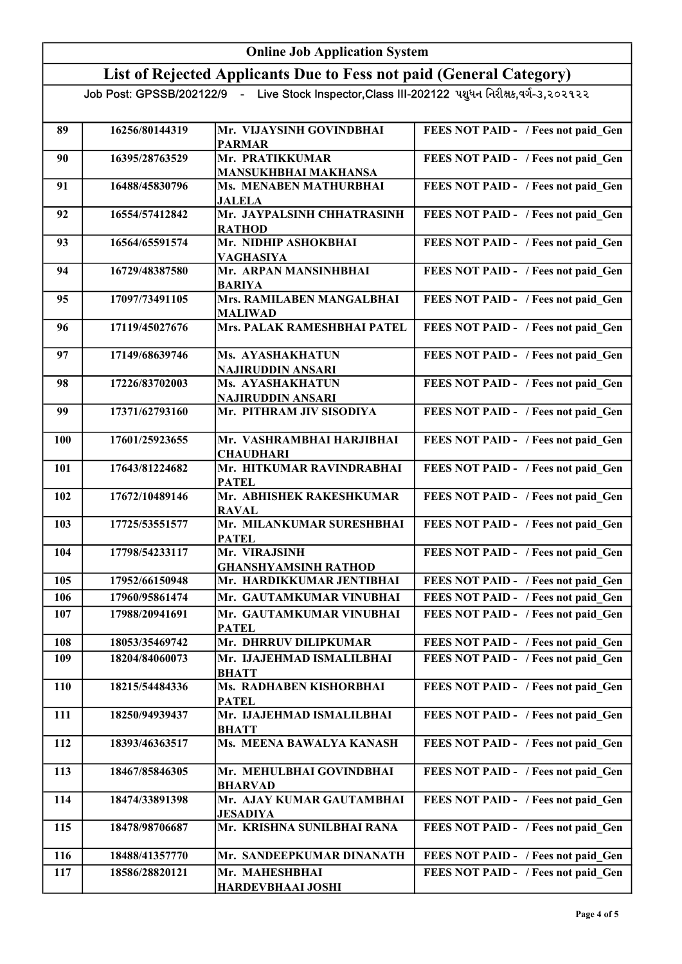### Online Job Application System List of Rejected Applicants Due to Fess not paid (General Category) Job Post: GPSSB/202122/9 - Live Stock Inspector,Class III-202122 પશુધન નિરીક્ષક,વર્ગ-૩,૨૦૨૧૨૨ 89 | 16256/80144319 | Mr. VIJAYSINH GOVINDBHAI PARMAR FEES NOT PAID - / Fees not paid Gen 90 16395/28763529 Mr. PRATIKKUMAR MANSUKHBHAI MAKHANSA FEES NOT PAID - / Fees not paid Gen 91 | 16488/45830796 | Ms. MENABEN MATHURBHAI JALELA FEES NOT PAID - / Fees not paid Gen 92 16554/57412842 Mr. JAYPALSINH CHHATRASINH RATHOD FEES NOT PAID - / Fees not paid Gen 93 16564/65591574 Mr. NIDHIP ASHOKBHAI VAGHASIYA FEES NOT PAID - / Fees not paid Gen 94 16729/48387580 Mr. ARPAN MANSINHBHAI BARIYA FEES NOT PAID - / Fees not paid Gen 95 17097/73491105 Mrs. RAMILABEN MANGALBHAI MALIWAD FEES NOT PAID - / Fees not paid Gen 96 | 17119/45027676 | Mrs. PALAK RAMESHBHAI PATEL | FEES NOT PAID - / Fees not paid\_Gen 97 17149/68639746 Ms. AYASHAKHATUN NAJIRUDDIN ANSARI FEES NOT PAID - / Fees not paid Gen 98 17226/83702003 Ms. AYASHAKHATUN NAJIRUDDIN ANSARI FEES NOT PAID - / Fees not paid Gen 99 17371/62793160 Mr. PITHRAM JIV SISODIYA FEES NOT PAID - / Fees not paid Gen 100 17601/25923655 Mr. VASHRAMBHAI HARJIBHAI **CHAUDHARI** FEES NOT PAID - / Fees not paid Gen 101 17643/81224682 Mr. HITKUMAR RAVINDRABHAI PATEL FEES NOT PAID - / Fees not paid Gen 102 17672/10489146 Mr. ABHISHEK RAKESHKUMAR RAVAL FEES NOT PAID - / Fees not paid Gen 103 17725/53551577 Mr. MILANKUMAR SURESHBHAI PATEL FEES NOT PAID - / Fees not paid Gen 104 17798/54233117 Mr. VIRAJSINH GHANSHYAMSINH RATHOD FEES NOT PAID - / Fees not paid Gen 105 17952/66150948 Mr. HARDIKKUMAR JENTIBHAI 106 17960/95861474 Mr. GAUTAMKUMAR VINUBHAI FEES NOT PAID - / Fees not paid Gen 107 17988/20941691 Mr. GAUTAMKUMAR VINUBHAI FEES NOT PAID - / Fees not paid Gen **PATEL** FEES NOT PAID - / Fees not paid\_Gen 108 18053/35469742 Mr. DHRRUV DILIPKUMAR 109 18204/84060073 Mr. IJAJEHMAD ISMALILBHAI FEES NOT PAID - / Fees not paid Gen BHATT FEES NOT PAID - / Fees not paid Gen 110 18215/54484336 Ms. RADHABEN KISHORBHAI PATEL FEES NOT PAID - / Fees not paid Gen 111 18250/94939437 Mr. IJAJEHMAD ISMALILBHAI **BHATT** FEES NOT PAID - / Fees not paid Gen 112 18393/46363517 Ms. MEENA BAWALYA KANASH FEES NOT PAID - / Fees not paid Gen 113 18467/85846305 Mr. MEHULBHAI GOVINDBHAI BHARVAD FEES NOT PAID - / Fees not paid Gen 114 18474/33891398 Mr. AJAY KUMAR GAUTAMBHAI JESADIYA FEES NOT PAID - / Fees not paid Gen 115 18478/98706687 Mr. KRISHNA SUNILBHAI RANA FEES NOT PAID - / Fees not paid Gen 116 18488/41357770 Mr. SANDEEPKUMAR DINANATH 117 18586/28820121 Mr. MAHESHBHAI FEES NOT PAID - / Fees not paid Gen FEES NOT PAID - / Fees not paid Gen

HARDEVBHAAI JOSHI